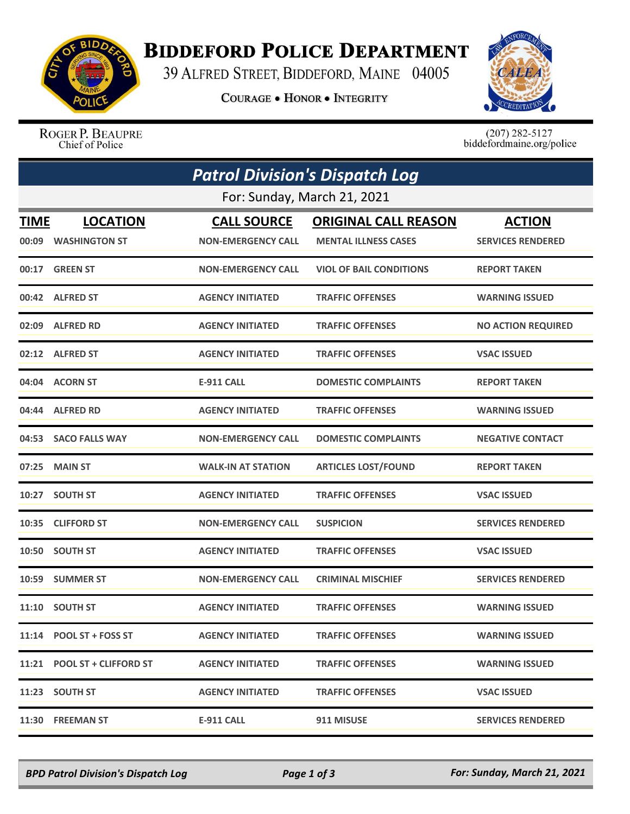

## **BIDDEFORD POLICE DEPARTMENT**

39 ALFRED STREET, BIDDEFORD, MAINE 04005

**COURAGE . HONOR . INTEGRITY** 



ROGER P. BEAUPRE Chief of Police

 $(207)$  282-5127<br>biddefordmaine.org/police

|                             | <b>Patrol Division's Dispatch Log</b>  |                                                 |                                                            |                                           |  |  |  |
|-----------------------------|----------------------------------------|-------------------------------------------------|------------------------------------------------------------|-------------------------------------------|--|--|--|
| For: Sunday, March 21, 2021 |                                        |                                                 |                                                            |                                           |  |  |  |
| <b>TIME</b>                 | <b>LOCATION</b><br>00:09 WASHINGTON ST | <b>CALL SOURCE</b><br><b>NON-EMERGENCY CALL</b> | <b>ORIGINAL CALL REASON</b><br><b>MENTAL ILLNESS CASES</b> | <b>ACTION</b><br><b>SERVICES RENDERED</b> |  |  |  |
|                             | 00:17 GREEN ST                         | <b>NON-EMERGENCY CALL</b>                       | <b>VIOL OF BAIL CONDITIONS</b>                             | <b>REPORT TAKEN</b>                       |  |  |  |
|                             | 00:42 ALFRED ST                        | <b>AGENCY INITIATED</b>                         | <b>TRAFFIC OFFENSES</b>                                    | <b>WARNING ISSUED</b>                     |  |  |  |
|                             | 02:09 ALFRED RD                        | <b>AGENCY INITIATED</b>                         | <b>TRAFFIC OFFENSES</b>                                    | <b>NO ACTION REQUIRED</b>                 |  |  |  |
|                             | 02:12 ALFRED ST                        | <b>AGENCY INITIATED</b>                         | <b>TRAFFIC OFFENSES</b>                                    | <b>VSAC ISSUED</b>                        |  |  |  |
|                             | 04:04 ACORN ST                         | <b>E-911 CALL</b>                               | <b>DOMESTIC COMPLAINTS</b>                                 | <b>REPORT TAKEN</b>                       |  |  |  |
|                             | 04:44 ALFRED RD                        | <b>AGENCY INITIATED</b>                         | <b>TRAFFIC OFFENSES</b>                                    | <b>WARNING ISSUED</b>                     |  |  |  |
|                             | 04:53 SACO FALLS WAY                   | <b>NON-EMERGENCY CALL</b>                       | <b>DOMESTIC COMPLAINTS</b>                                 | <b>NEGATIVE CONTACT</b>                   |  |  |  |
|                             | 07:25 MAIN ST                          | <b>WALK-IN AT STATION</b>                       | <b>ARTICLES LOST/FOUND</b>                                 | <b>REPORT TAKEN</b>                       |  |  |  |
|                             | 10:27 SOUTH ST                         | <b>AGENCY INITIATED</b>                         | <b>TRAFFIC OFFENSES</b>                                    | <b>VSAC ISSUED</b>                        |  |  |  |
|                             | 10:35 CLIFFORD ST                      | <b>NON-EMERGENCY CALL</b>                       | <b>SUSPICION</b>                                           | <b>SERVICES RENDERED</b>                  |  |  |  |
|                             | 10:50 SOUTH ST                         | <b>AGENCY INITIATED</b>                         | <b>TRAFFIC OFFENSES</b>                                    | <b>VSAC ISSUED</b>                        |  |  |  |
|                             | 10:59 SUMMER ST                        | <b>NON-EMERGENCY CALL</b>                       | <b>CRIMINAL MISCHIEF</b>                                   | <b>SERVICES RENDERED</b>                  |  |  |  |
|                             | 11:10 SOUTH ST                         | <b>AGENCY INITIATED</b>                         | <b>TRAFFIC OFFENSES</b>                                    | <b>WARNING ISSUED</b>                     |  |  |  |
|                             | $11:14$ POOL ST + FOSS ST              | <b>AGENCY INITIATED</b>                         | <b>TRAFFIC OFFENSES</b>                                    | <b>WARNING ISSUED</b>                     |  |  |  |
|                             | 11:21 POOL ST + CLIFFORD ST            | <b>AGENCY INITIATED</b>                         | <b>TRAFFIC OFFENSES</b>                                    | <b>WARNING ISSUED</b>                     |  |  |  |
|                             | 11:23 SOUTH ST                         | <b>AGENCY INITIATED</b>                         | <b>TRAFFIC OFFENSES</b>                                    | <b>VSAC ISSUED</b>                        |  |  |  |
|                             | 11:30 FREEMAN ST                       | <b>E-911 CALL</b>                               | 911 MISUSE                                                 | <b>SERVICES RENDERED</b>                  |  |  |  |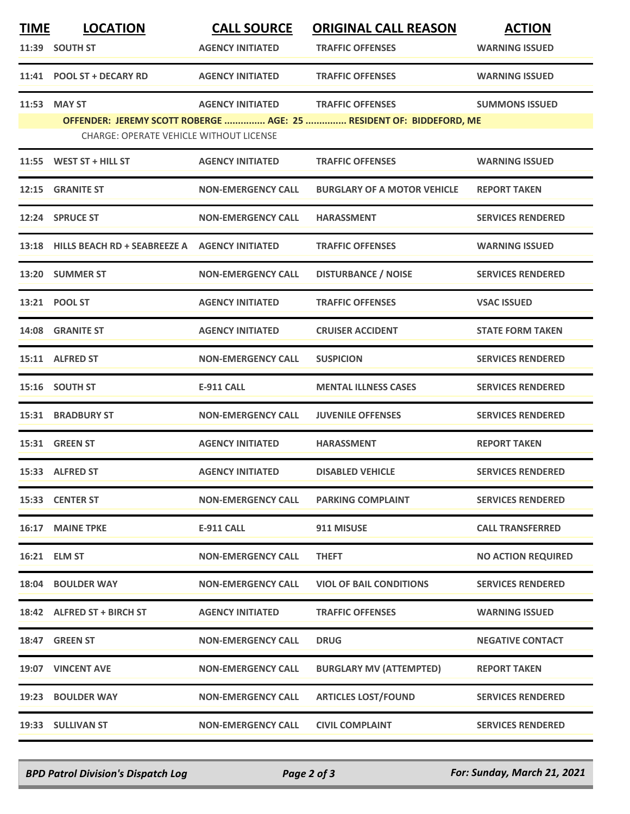| <b>TIME</b> | <b>LOCATION</b>                                                                                                       | <b>CALL SOURCE</b>        | <b>ORIGINAL CALL REASON</b>        | <b>ACTION</b>             |  |  |
|-------------|-----------------------------------------------------------------------------------------------------------------------|---------------------------|------------------------------------|---------------------------|--|--|
|             | 11:39 SOUTH ST                                                                                                        | <b>AGENCY INITIATED</b>   | <b>TRAFFIC OFFENSES</b>            | <b>WARNING ISSUED</b>     |  |  |
|             | 11:41 POOL ST + DECARY RD                                                                                             | <b>AGENCY INITIATED</b>   | <b>TRAFFIC OFFENSES</b>            | <b>WARNING ISSUED</b>     |  |  |
|             | 11:53 MAY ST                                                                                                          | <b>AGENCY INITIATED</b>   | <b>TRAFFIC OFFENSES</b>            | <b>SUMMONS ISSUED</b>     |  |  |
|             | OFFENDER: JEREMY SCOTT ROBERGE  AGE: 25  RESIDENT OF: BIDDEFORD, ME<br><b>CHARGE: OPERATE VEHICLE WITHOUT LICENSE</b> |                           |                                    |                           |  |  |
|             | 11:55 WEST ST + HILL ST                                                                                               | <b>AGENCY INITIATED</b>   | <b>TRAFFIC OFFENSES</b>            | <b>WARNING ISSUED</b>     |  |  |
|             | 12:15 GRANITE ST                                                                                                      | <b>NON-EMERGENCY CALL</b> | <b>BURGLARY OF A MOTOR VEHICLE</b> | <b>REPORT TAKEN</b>       |  |  |
| 12:24       | <b>SPRUCE ST</b>                                                                                                      | <b>NON-EMERGENCY CALL</b> | <b>HARASSMENT</b>                  | <b>SERVICES RENDERED</b>  |  |  |
|             | 13:18 HILLS BEACH RD + SEABREEZE A    AGENCY INITIATED                                                                |                           | <b>TRAFFIC OFFENSES</b>            | <b>WARNING ISSUED</b>     |  |  |
|             | 13:20 SUMMER ST                                                                                                       | <b>NON-EMERGENCY CALL</b> | <b>DISTURBANCE / NOISE</b>         | <b>SERVICES RENDERED</b>  |  |  |
|             | 13:21 POOL ST                                                                                                         | <b>AGENCY INITIATED</b>   | <b>TRAFFIC OFFENSES</b>            | <b>VSAC ISSUED</b>        |  |  |
|             | 14:08 GRANITE ST                                                                                                      | <b>AGENCY INITIATED</b>   | <b>CRUISER ACCIDENT</b>            | <b>STATE FORM TAKEN</b>   |  |  |
|             | 15:11 ALFRED ST                                                                                                       | <b>NON-EMERGENCY CALL</b> | <b>SUSPICION</b>                   | <b>SERVICES RENDERED</b>  |  |  |
|             | 15:16 SOUTH ST                                                                                                        | <b>E-911 CALL</b>         | <b>MENTAL ILLNESS CASES</b>        | <b>SERVICES RENDERED</b>  |  |  |
| 15:31       | <b>BRADBURY ST</b>                                                                                                    | <b>NON-EMERGENCY CALL</b> | <b>JUVENILE OFFENSES</b>           | <b>SERVICES RENDERED</b>  |  |  |
|             | 15:31 GREEN ST                                                                                                        | <b>AGENCY INITIATED</b>   | <b>HARASSMENT</b>                  | <b>REPORT TAKEN</b>       |  |  |
|             | 15:33 ALFRED ST                                                                                                       | <b>AGENCY INITIATED</b>   | <b>DISABLED VEHICLE</b>            | <b>SERVICES RENDERED</b>  |  |  |
|             | 15:33 CENTER ST                                                                                                       | <b>NON-EMERGENCY CALL</b> | <b>PARKING COMPLAINT</b>           | <b>SERVICES RENDERED</b>  |  |  |
|             | <b>16:17 MAINE TPKE</b>                                                                                               | E-911 CALL                | 911 MISUSE                         | <b>CALL TRANSFERRED</b>   |  |  |
|             | 16:21 ELM ST                                                                                                          | <b>NON-EMERGENCY CALL</b> | <b>THEFT</b>                       | <b>NO ACTION REQUIRED</b> |  |  |
|             | 18:04 BOULDER WAY                                                                                                     | <b>NON-EMERGENCY CALL</b> | <b>VIOL OF BAIL CONDITIONS</b>     | <b>SERVICES RENDERED</b>  |  |  |
|             | 18:42 ALFRED ST + BIRCH ST                                                                                            | <b>AGENCY INITIATED</b>   | <b>TRAFFIC OFFENSES</b>            | <b>WARNING ISSUED</b>     |  |  |
|             | 18:47 GREEN ST                                                                                                        | <b>NON-EMERGENCY CALL</b> | <b>DRUG</b>                        | <b>NEGATIVE CONTACT</b>   |  |  |
|             | 19:07 VINCENT AVE                                                                                                     | <b>NON-EMERGENCY CALL</b> | <b>BURGLARY MV (ATTEMPTED)</b>     | <b>REPORT TAKEN</b>       |  |  |
|             | 19:23 BOULDER WAY                                                                                                     | <b>NON-EMERGENCY CALL</b> | <b>ARTICLES LOST/FOUND</b>         | <b>SERVICES RENDERED</b>  |  |  |
|             | 19:33 SULLIVAN ST                                                                                                     | <b>NON-EMERGENCY CALL</b> | <b>CIVIL COMPLAINT</b>             | <b>SERVICES RENDERED</b>  |  |  |

*BPD Patrol Division's Dispatch Log Page 2 of 3 For: Sunday, March 21, 2021*